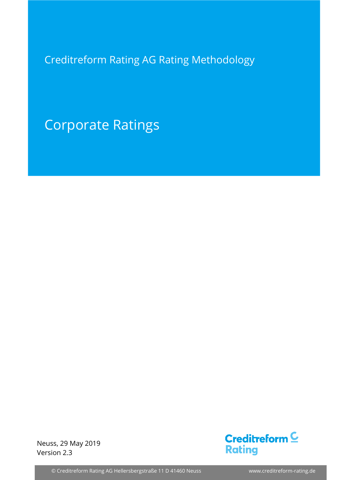Creditreform Rating AG Rating Methodology

Corporate Ratings

Neuss, 29 May 2019 Version 2.3



© Creditreform Rating AG Hellersbergstraße 11 D 41460 Neuss www.creditreform-rating.de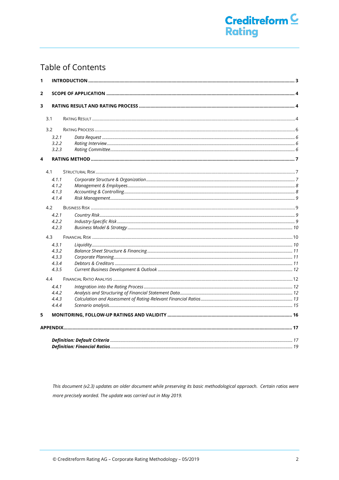## **Table of Contents**

| 1 |       |  |
|---|-------|--|
| 2 |       |  |
| 3 |       |  |
|   | 3.1   |  |
|   | 3.2   |  |
|   | 3.2.1 |  |
|   | 3.2.2 |  |
|   | 3.2.3 |  |
| 4 |       |  |
|   | 4.1   |  |
|   | 4.1.1 |  |
|   | 4.1.2 |  |
|   | 4.1.3 |  |
|   | 4.1.4 |  |
|   | 4.2   |  |
|   | 4.2.1 |  |
|   | 4.2.2 |  |
|   | 4.2.3 |  |
|   | 4.3   |  |
|   | 4.3.1 |  |
|   | 4.3.2 |  |
|   | 4.3.3 |  |
|   | 4.3.4 |  |
|   | 4.3.5 |  |
|   | 4.4   |  |
|   | 4.4.1 |  |
|   | 4.4.2 |  |
|   | 4.4.3 |  |
|   | 4.4.4 |  |
| 5 |       |  |
|   |       |  |
|   |       |  |
|   |       |  |
|   |       |  |

This document (v2.3) updates an older document while preserving its basic methodological approach. Certain ratios were more precisely worded. The update was carried out in May 2019.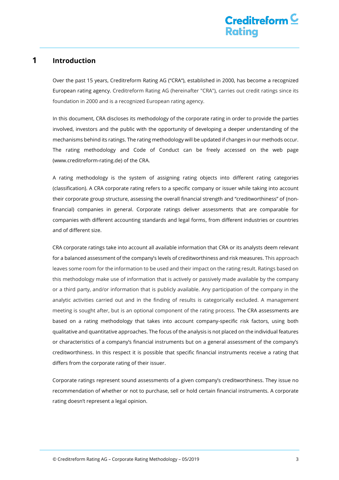## <span id="page-2-0"></span>**1 Introduction**

Over the past 15 years, Creditreform Rating AG ("CRA"), established in 2000, has become a recognized European rating agency. Creditreform Rating AG (hereinafter "CRA"), carries out credit ratings since its foundation in 2000 and is a recognized European rating agency.

In this document, CRA discloses its methodology of the corporate rating in order to provide the parties involved, investors and the public with the opportunity of developing a deeper understanding of the mechanisms behind its ratings. The rating methodology will be updated if changes in our methods occur. The rating methodology and Code of Conduct can be freely accessed on the web page [\(www.creditreform-rating.de\)](http://www.creditreform-rating.de/) of the CRA.

A rating methodology is the system of assigning rating objects into different rating categories (classification). A CRA corporate rating refers to a specific company or issuer while taking into account their corporate group structure, assessing the overall financial strength and "creditworthiness" of (nonfinancial) companies in general. Corporate ratings deliver assessments that are comparable for companies with different accounting standards and legal forms, from different industries or countries and of different size.

CRA corporate ratings take into account all available information that CRA or its analysts deem relevant for a balanced assessment of the company's levels of creditworthiness and risk measures. This approach leaves some room for the information to be used and their impact on the rating result. Ratings based on this methodology make use of information that is actively or passively made available by the company or a third party, and/or information that is publicly available. Any participation of the company in the analytic activities carried out and in the finding of results is categorically excluded. A management meeting is sought after, but is an optional component of the rating process. The CRA assessments are based on a rating methodology that takes into account company-specific risk factors, using both qualitative and quantitative approaches. The focus of the analysis is not placed on the individual features or characteristics of a company's financial instruments but on a general assessment of the company's creditworthiness. In this respect it is possible that specific financial instruments receive a rating that differs from the corporate rating of their issuer.

Corporate ratings represent sound assessments of a given company's creditworthiness. They issue no recommendation of whether or not to purchase, sell or hold certain financial instruments. A corporate rating doesn't represent a legal opinion.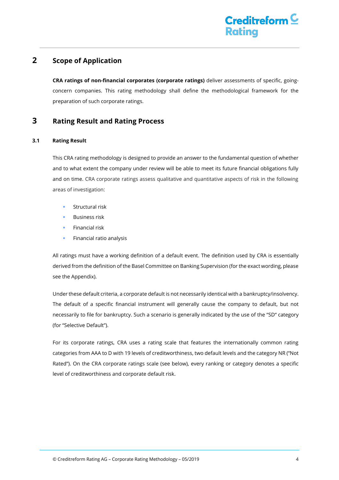## <span id="page-3-0"></span>**2 Scope of Application**

**CRA ratings of non-financial corporates (corporate ratings)** deliver assessments of specific, goingconcern companies. This rating methodology shall define the methodological framework for the preparation of such corporate ratings.

## <span id="page-3-1"></span>**3 Rating Result and Rating Process**

#### <span id="page-3-2"></span>**3.1 Rating Result**

This CRA rating methodology is designed to provide an answer to the fundamental question of whether and to what extent the company under review will be able to meet its future financial obligations fully and on time. CRA corporate ratings assess qualitative and quantitative aspects of risk in the following areas of investigation:

- Structural risk
- Business risk
- Financial risk
- Financial ratio analysis

All ratings must have a working definition of a default event. The definition used by CRA is essentially derived from the definition of the Basel Committee on Banking Supervision (for the exact wording, please see the Appendix).

Under these default criteria, a corporate default is not necessarily identical with a bankruptcy/insolvency. The default of a specific financial instrument will generally cause the company to default, but not necessarily to file for bankruptcy. Such a scenario is generally indicated by the use of the "SD" category (for "Selective Default").

For its corporate ratings, CRA uses a rating scale that features the internationally common rating categories from AAA to D with 19 levels of creditworthiness, two default levels and the category NR ("Not Rated"). On the CRA corporate ratings scale (see below), every ranking or category denotes a specific level of creditworthiness and corporate default risk.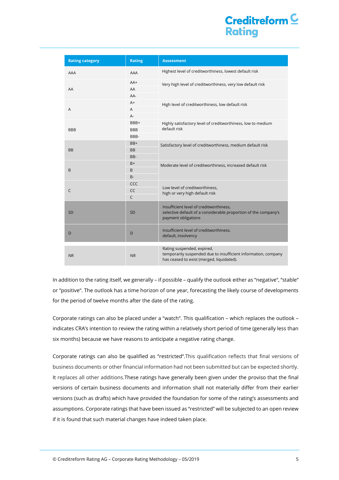# Creditreform  $\subseteq$ **Rating**

| <b>Rating category</b> | <b>Rating</b> | <b>Assessment</b>                                                                                                                         |
|------------------------|---------------|-------------------------------------------------------------------------------------------------------------------------------------------|
| AAA                    | AAA           | Highest level of creditworthiness, lowest default risk                                                                                    |
|                        | $AA+$         | Very high level of creditworthiness, very low default risk                                                                                |
| AA                     | AA            |                                                                                                                                           |
|                        | AA-           |                                                                                                                                           |
|                        | $A+$          | High level of creditworthiness, low default risk                                                                                          |
| A                      | A             |                                                                                                                                           |
|                        | $A -$         |                                                                                                                                           |
|                        | BBB+          | Highly satisfactory level of creditworthiness, low to medium<br>default risk                                                              |
| <b>BBB</b>             | <b>BBB</b>    |                                                                                                                                           |
|                        | BBB-          |                                                                                                                                           |
|                        | BB+           | Satisfactory level of creditworthiness, medium default risk                                                                               |
| <b>BB</b>              | <b>BB</b>     |                                                                                                                                           |
|                        | BB-<br>$B+$   |                                                                                                                                           |
|                        | B             | Moderate level of creditworthiness, increased default risk                                                                                |
| B                      | <b>B-</b>     |                                                                                                                                           |
|                        | CCC           |                                                                                                                                           |
| C                      | CC            | Low level of creditworthiness,                                                                                                            |
|                        | $\mathsf{C}$  | high or very high default risk                                                                                                            |
|                        |               |                                                                                                                                           |
| <b>SD</b>              | SD            | Insufficient level of creditworthiness,<br>selective default of a considerable proportion of the company's<br>payment obligations         |
|                        |               |                                                                                                                                           |
| D                      | D             | Insufficient level of creditworthiness,<br>default, insolvency                                                                            |
|                        |               |                                                                                                                                           |
| N <sub>R</sub>         | <b>NR</b>     | Rating suspended, expired,<br>temporarily suspended due to insufficient information, company<br>has ceased to exist (merged, liquidated). |

In addition to the rating itself, we generally – if possible – qualify the outlook either as "negative", "stable" or "positive". The outlook has a time horizon of one year, forecasting the likely course of developments for the period of twelve months after the date of the rating.

Corporate ratings can also be placed under a "watch". This qualification – which replaces the outlook – indicates CRA's intention to review the rating within a relatively short period of time (generally less than six months) because we have reasons to anticipate a negative rating change.

Corporate ratings can also be qualified as "restricted".This qualification reflects that final versions of business documents or other financial information had not been submitted but can be expected shortly. It replaces all other additions.These ratings have generally been given under the proviso that the final versions of certain business documents and information shall not materially differ from their earlier versions (such as drafts) which have provided the foundation for some of the rating's assessments and assumptions. Corporate ratings that have been issued as "restricted" will be subjected to an open review if it is found that such material changes have indeed taken place.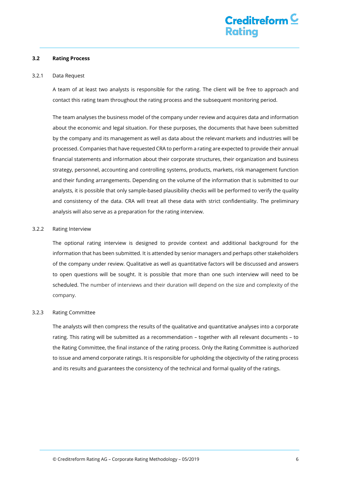#### <span id="page-5-0"></span>**3.2 Rating Process**

#### <span id="page-5-1"></span>3.2.1 Data Request

A team of at least two analysts is responsible for the rating. The client will be free to approach and contact this rating team throughout the rating process and the subsequent monitoring period.

The team analyses the business model of the company under review and acquires data and information about the economic and legal situation. For these purposes, the documents that have been submitted by the company and its management as well as data about the relevant markets and industries will be processed. Companies that have requested CRA to perform a rating are expected to provide their annual financial statements and information about their corporate structures, their organization and business strategy, personnel, accounting and controlling systems, products, markets, risk management function and their funding arrangements. Depending on the volume of the information that is submitted to our analysts, it is possible that only sample-based plausibility checks will be performed to verify the quality and consistency of the data. CRA will treat all these data with strict confidentiality. The preliminary analysis will also serve as a preparation for the rating interview.

#### <span id="page-5-2"></span>3.2.2 Rating Interview

The optional rating interview is designed to provide context and additional background for the information that has been submitted. It is attended by senior managers and perhaps other stakeholders of the company under review. Qualitative as well as quantitative factors will be discussed and answers to open questions will be sought. It is possible that more than one such interview will need to be scheduled. The number of interviews and their duration will depend on the size and complexity of the company.

#### <span id="page-5-3"></span>3.2.3 Rating Committee

The analysts will then compress the results of the qualitative and quantitative analyses into a corporate rating. This rating will be submitted as a recommendation – together with all relevant documents – to the Rating Committee, the final instance of the rating process. Only the Rating Committee is authorized to issue and amend corporate ratings. It is responsible for upholding the objectivity of the rating process and its results and guarantees the consistency of the technical and formal quality of the ratings.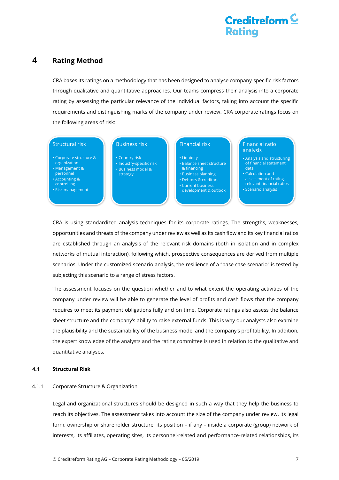## <span id="page-6-0"></span>**4 Rating Method**

CRA bases its ratings on a methodology that has been designed to analyse company-specific risk factors through qualitative and quantitative approaches. Our teams compress their analysis into a corporate rating by assessing the particular relevance of the individual factors, taking into account the specific requirements and distinguishing marks of the company under review. CRA corporate ratings focus on the following areas of risk:

#### Structural risk

• Corporate structure & organization • Management & personnel • Accounting & controlling

• Risk management

#### Business risk

• Country risk • Industry-specific risk • Business model & strategy

#### Financial risk

• Liquidity • Balance sheet structure

- & financing
- Business planning
- Debtors & creditors
- Current business development & outlook

#### Financial ratio analysis

- Analysis and structuring of financial statement data
- Calculation and assessment of ratingrelevant financial ratios • Scenario analysis

CRA is using standardized analysis techniques for its corporate ratings. The strengths, weaknesses, opportunities and threats of the company under review as well as its cash flow and its key financial ratios are established through an analysis of the relevant risk domains (both in isolation and in complex networks of mutual interaction), following which, prospective consequences are derived from multiple scenarios. Under the customized scenario analysis, the resilience of a "base case scenario" is tested by subjecting this scenario to a range of stress factors.

The assessment focuses on the question whether and to what extent the operating activities of the company under review will be able to generate the level of profits and cash flows that the company requires to meet its payment obligations fully and on time. Corporate ratings also assess the balance sheet structure and the company's ability to raise external funds. This is why our analysts also examine the plausibility and the sustainability of the business model and the company's profitability. In addition, the expert knowledge of the analysts and the rating committee is used in relation to the qualitative and quantitative analyses.

#### <span id="page-6-1"></span>**4.1 Structural Risk**

#### <span id="page-6-2"></span>4.1.1 Corporate Structure & Organization

Legal and organizational structures should be designed in such a way that they help the business to reach its objectives. The assessment takes into account the size of the company under review, its legal form, ownership or shareholder structure, its position – if any – inside a corporate (group) network of interests, its affiliates, operating sites, its personnel-related and performance-related relationships, its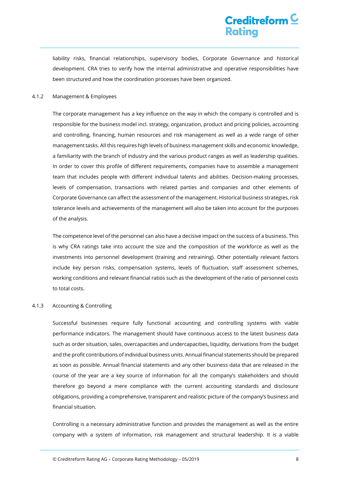liability risks, financial relationships, supervisory bodies, Corporate Governance and historical development. CRA tries to verify how the internal administrative and operative responsibilities have been structured and how the coordination processes have been organized.

#### <span id="page-7-0"></span>4.1.2 Management & Employees

The corporate management has a key influence on the way in which the company is controlled and is responsible for the business model incl. strategy, organization, product and pricing policies, accounting and controlling, financing, human resources and risk management as well as a wide range of other management tasks. All this requires high levels of business management skills and economic knowledge, a familiarity with the branch of industry and the various product ranges as well as leadership qualities. In order to cover this profile of different requirements, companies have to assemble a management team that includes people with different individual talents and abilities. Decision-making processes, levels of compensation, transactions with related parties and companies and other elements of Corporate Governance can affect the assessment of the management. Historical business strategies, risk tolerance levels and achievements of the management will also be taken into account for the purposes of the analysis.

The competence level of the personnel can also have a decisive impact on the success of a business. This is why CRA ratings take into account the size and the composition of the workforce as well as the investments into personnel development (training and retraining). Other potentially relevant factors include key person risks, compensation systems, levels of fluctuation, staff assessment schemes, working conditions and relevant financial ratios such as the development of the ratio of personnel costs to total costs.

#### <span id="page-7-1"></span>4.1.3 Accounting & Controlling

Successful businesses require fully functional accounting and controlling systems with viable performance indicators. The management should have continuous access to the latest business data such as order situation, sales, overcapacities and undercapacities, liquidity, derivations from the budget and the profit contributions of individual business units. Annual financial statements should be prepared as soon as possible. Annual financial statements and any other business data that are released in the course of the year are a key source of information for all the company's stakeholders and should therefore go beyond a mere compliance with the current accounting standards and disclosure obligations, providing a comprehensive, transparent and realistic picture of the company's business and financial situation.

Controlling is a necessary administrative function and provides the management as well as the entire company with a system of information, risk management and structural leadership. It is a viable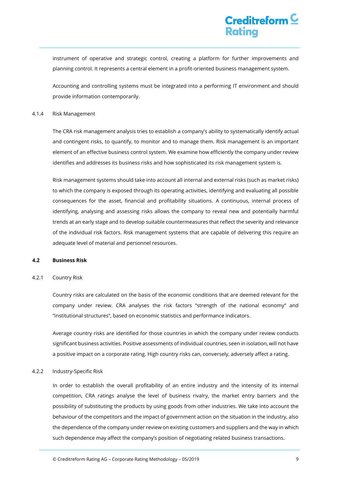instrument of operative and strategic control, creating a platform for further improvements and planning control. It represents a central element in a profit-oriented business management system.

Accounting and controlling systems must be integrated into a performing IT environment and should provide information contemporarily.

#### <span id="page-8-0"></span>4.1.4 Risk Management

The CRA risk management analysis tries to establish a company's ability to systematically identify actual and contingent risks, to quantify, to monitor and to manage them. Risk management is an important element of an effective business control system. We examine how efficiently the company under review identifies and addresses its business risks and how sophisticated its risk management system is.

Risk management systems should take into account all internal and external risks (such as market risks) to which the company is exposed through its operating activities, identifying and evaluating all possible consequences for the asset, financial and profitability situations. A continuous, internal process of identifying, analysing and assessing risks allows the company to reveal new and potentially harmful trends at an early stage and to develop suitable countermeasures that reflect the severity and relevance of the individual risk factors. Risk management systems that are capable of delivering this require an adequate level of material and personnel resources.

#### <span id="page-8-1"></span>**4.2 Business Risk**

#### <span id="page-8-2"></span>4.2.1 Country Risk

Country risks are calculated on the basis of the economic conditions that are deemed relevant for the company under review. CRA analyses the risk factors "strength of the national economy" and "institutional structures", based on economic statistics and performance indicators.

Average country risks are identified for those countries in which the company under review conducts significant business activities. Positive assessments of individual countries, seen in isolation, will not have a positive impact on a corporate rating. High country risks can, conversely, adversely affect a rating.

#### <span id="page-8-3"></span>4.2.2 Industry-Specific Risk

In order to establish the overall profitability of an entire industry and the intensity of its internal competition, CRA ratings analyse the level of business rivalry, the market entry barriers and the possibility of substituting the products by using goods from other industries. We take into account the behaviour of the competitors and the impact of government action on the situation in the industry, also the dependence of the company under review on existing customers and suppliers and the way in which such dependence may affect the company's position of negotiating related business transactions.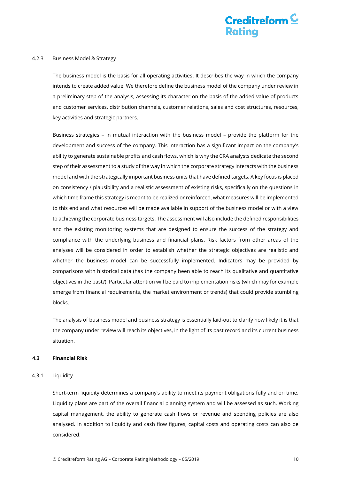#### <span id="page-9-0"></span>4.2.3 Business Model & Strategy

The business model is the basis for all operating activities. It describes the way in which the company intends to create added value. We therefore define the business model of the company under review in a preliminary step of the analysis, assessing its character on the basis of the added value of products and customer services, distribution channels, customer relations, sales and cost structures, resources, key activities and strategic partners.

Business strategies – in mutual interaction with the business model – provide the platform for the development and success of the company. This interaction has a significant impact on the company's ability to generate sustainable profits and cash flows, which is why the CRA analysts dedicate the second step of their assessment to a study of the way in which the corporate strategy interacts with the business model and with the strategically important business units that have defined targets. A key focus is placed on consistency / plausibility and a realistic assessment of existing risks, specifically on the questions in which time frame this strategy is meant to be realized or reinforced, what measures will be implemented to this end and what resources will be made available in support of the business model or with a view to achieving the corporate business targets. The assessment will also include the defined responsibilities and the existing monitoring systems that are designed to ensure the success of the strategy and compliance with the underlying business and financial plans. Risk factors from other areas of the analyses will be considered in order to establish whether the strategic objectives are realistic and whether the business model can be successfully implemented. Indicators may be provided by comparisons with historical data (has the company been able to reach its qualitative and quantitative objectives in the past?). Particular attention will be paid to implementation risks (which may for example emerge from financial requirements, the market environment or trends) that could provide stumbling blocks.

The analysis of business model and business strategy is essentially laid-out to clarify how likely it is that the company under review will reach its objectives, in the light of its past record and its current business situation.

#### <span id="page-9-1"></span>**4.3 Financial Risk**

#### <span id="page-9-2"></span>4.3.1 Liquidity

Short-term liquidity determines a company's ability to meet its payment obligations fully and on time. Liquidity plans are part of the overall financial planning system and will be assessed as such. Working capital management, the ability to generate cash flows or revenue and spending policies are also analysed. In addition to liquidity and cash flow figures, capital costs and operating costs can also be considered.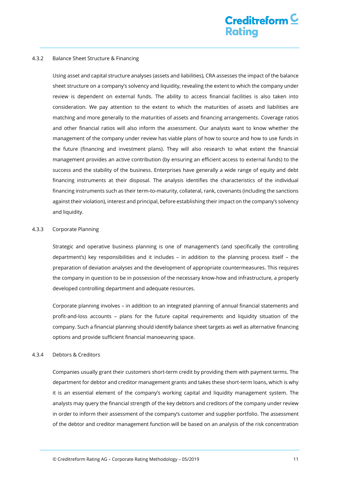#### <span id="page-10-0"></span>4.3.2 Balance Sheet Structure & Financing

Using asset and capital structure analyses (assets and liabilities), CRA assesses the impact of the balance sheet structure on a company's solvency and liquidity, revealing the extent to which the company under review is dependent on external funds. The ability to access financial facilities is also taken into consideration. We pay attention to the extent to which the maturities of assets and liabilities are matching and more generally to the maturities of assets and financing arrangements. Coverage ratios and other financial ratios will also inform the assessment. Our analysts want to know whether the management of the company under review has viable plans of how to source and how to use funds in the future (financing and investment plans). They will also research to what extent the financial management provides an active contribution (by ensuring an efficient access to external funds) to the success and the stability of the business. Enterprises have generally a wide range of equity and debt financing instruments at their disposal. The analysis identifies the characteristics of the individual financing instruments such as their term-to-maturity, collateral, rank, covenants (including the sanctions against their violation), interest and principal, before establishing their impact on the company's solvency and liquidity.

#### <span id="page-10-1"></span>4.3.3 Corporate Planning

Strategic and operative business planning is one of management's (and specifically the controlling department's) key responsibilities and it includes – in addition to the planning process itself – the preparation of deviation analyses and the development of appropriate countermeasures. This requires the company in question to be in possession of the necessary know-how and infrastructure, a properly developed controlling department and adequate resources.

Corporate planning involves – in addition to an integrated planning of annual financial statements and profit-and-loss accounts – plans for the future capital requirements and liquidity situation of the company. Such a financial planning should identify balance sheet targets as well as alternative financing options and provide sufficient financial manoeuvring space.

#### <span id="page-10-2"></span>4.3.4 Debtors & Creditors

Companies usually grant their customers short-term credit by providing them with payment terms. The department for debtor and creditor management grants and takes these short-term loans, which is why it is an essential element of the company's working capital and liquidity management system. The analysts may query the financial strength of the key debtors and creditors of the company under review in order to inform their assessment of the company's customer and supplier portfolio. The assessment of the debtor and creditor management function will be based on an analysis of the risk concentration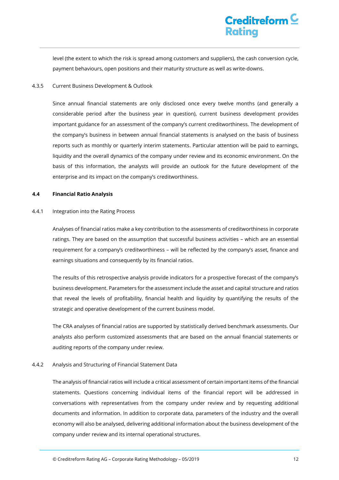level (the extent to which the risk is spread among customers and suppliers), the cash conversion cycle, payment behaviours, open positions and their maturity structure as well as write-downs.

#### <span id="page-11-0"></span>4.3.5 Current Business Development & Outlook

Since annual financial statements are only disclosed once every twelve months (and generally a considerable period after the business year in question), current business development provides important guidance for an assessment of the company's current creditworthiness. The development of the company's business in between annual financial statements is analysed on the basis of business reports such as monthly or quarterly interim statements. Particular attention will be paid to earnings, liquidity and the overall dynamics of the company under review and its economic environment. On the basis of this information, the analysts will provide an outlook for the future development of the enterprise and its impact on the company's creditworthiness.

#### <span id="page-11-1"></span>**4.4 Financial Ratio Analysis**

#### <span id="page-11-2"></span>4.4.1 Integration into the Rating Process

Analyses of financial ratios make a key contribution to the assessments of creditworthiness in corporate ratings. They are based on the assumption that successful business activities – which are an essential requirement for a company's creditworthiness – will be reflected by the company's asset, finance and earnings situations and consequently by its financial ratios.

The results of this retrospective analysis provide indicators for a prospective forecast of the company's business development. Parameters for the assessment include the asset and capital structure and ratios that reveal the levels of profitability, financial health and liquidity by quantifying the results of the strategic and operative development of the current business model.

The CRA analyses of financial ratios are supported by statistically derived benchmark assessments. Our analysts also perform customized assessments that are based on the annual financial statements or auditing reports of the company under review.

#### <span id="page-11-3"></span>4.4.2 Analysis and Structuring of Financial Statement Data

The analysis of financial ratios will include a critical assessment of certain important items of the financial statements. Questions concerning individual items of the financial report will be addressed in conversations with representatives from the company under review and by requesting additional documents and information. In addition to corporate data, parameters of the industry and the overall economy will also be analysed, delivering additional information about the business development of the company under review and its internal operational structures.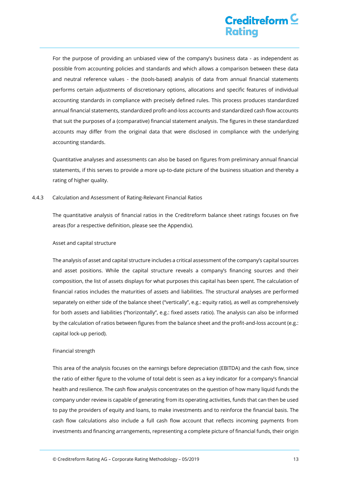For the purpose of providing an unbiased view of the company's business data - as independent as possible from accounting policies and standards and which allows a comparison between these data and neutral reference values - the (tools-based) analysis of data from annual financial statements performs certain adjustments of discretionary options, allocations and specific features of individual accounting standards in compliance with precisely defined rules. This process produces standardized annual financial statements, standardized profit-and-loss accounts and standardized cash flow accounts that suit the purposes of a (comparative) financial statement analysis. The figures in these standardized accounts may differ from the original data that were disclosed in compliance with the underlying accounting standards.

Quantitative analyses and assessments can also be based on figures from preliminary annual financial statements, if this serves to provide a more up-to-date picture of the business situation and thereby a rating of higher quality.

#### <span id="page-12-0"></span>4.4.3 Calculation and Assessment of Rating-Relevant Financial Ratios

The quantitative analysis of financial ratios in the Creditreform balance sheet ratings focuses on five areas (for a respective definition, please see the Appendix).

#### Asset and capital structure

The analysis of asset and capital structure includes a critical assessment of the company's capital sources and asset positions. While the capital structure reveals a company's financing sources and their composition, the list of assets displays for what purposes this capital has been spent. The calculation of financial ratios includes the maturities of assets and liabilities. The structural analyses are performed separately on either side of the balance sheet ("vertically", e.g.: equity ratio), as well as comprehensively for both assets and liabilities ("horizontally", e.g.: fixed assets ratio). The analysis can also be informed by the calculation of ratios between figures from the balance sheet and the profit-and-loss account (e.g.: capital lock-up period).

#### Financial strength

This area of the analysis focuses on the earnings before depreciation (EBITDA) and the cash flow, since the ratio of either figure to the volume of total debt is seen as a key indicator for a company's financial health and resilience. The cash flow analysis concentrates on the question of how many liquid funds the company under review is capable of generating from its operating activities, funds that can then be used to pay the providers of equity and loans, to make investments and to reinforce the financial basis. The cash flow calculations also include a full cash flow account that reflects incoming payments from investments and financing arrangements, representing a complete picture of financial funds, their origin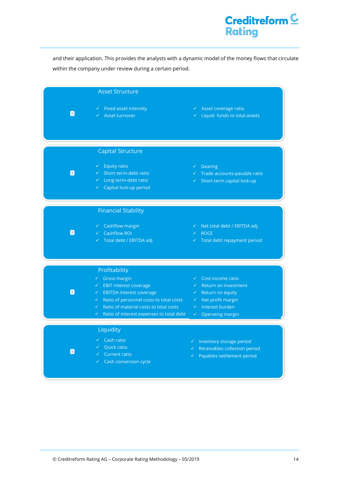# Creditreform<sup>C</sup> **Rating**

and their application. This provides the analysts with a dynamic model of the money flows that circulate within the company under review during a certain period.

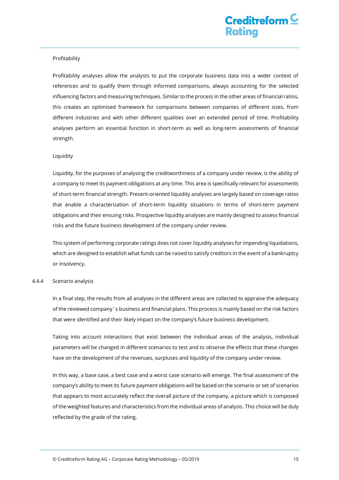#### Profitability

Profitability analyses allow the analysts to put the corporate business data into a wider context of references and to qualify them through informed comparisons, always accounting for the selected influencing factors and measuring techniques. Similar to the process in the other areas of financial ratios, this creates an optimised framework for comparisons between companies of different sizes, from different industries and with other different qualities over an extended period of time. Profitability analyses perform an essential function in short-term as well as long-term assessments of financial strength.

#### Liquidity

Liquidity, for the purposes of analysing the creditworthiness of a company under review, is the ability of a company to meet its payment obligations at any time. This area is specifically relevant for assessments of short-term financial strength. Present-oriented liquidity analyses are largely based on coverage ratios that enable a characterization of short-term liquidity situations in terms of short-term payment obligations and their ensuing risks. Prospective liquidity analyses are mainly designed to assess financial risks and the future business development of the company under review.

This system of performing corporate ratings does not cover liquidity analyses for impending liquidations, which are designed to establish what funds can be raised to satisfy creditors in the event of a bankruptcy or insolvency.

#### <span id="page-14-0"></span>4.4.4 Scenario analysis

In a final step, the results from all analyses in the different areas are collected to appraise the adequacy of the reviewed company´s business and financial plans. This process is mainly based on the risk factors that were identified and their likely impact on the company's future business development.

Taking into account interactions that exist between the individual areas of the analysis, individual parameters will be changed in different scenarios to test and to observe the effects that these changes have on the development of the revenues, surpluses and liquidity of the company under review.

In this way, a base case, a best case and a worst case scenario will emerge. The final assessment of the company's ability to meet its future payment obligations will be based on the scenario or set of scenarios that appears to most accurately reflect the overall picture of the company, a picture which is composed of the weighted features and characteristics from the individual areas of analysis. This choice will be duly reflected by the grade of the rating.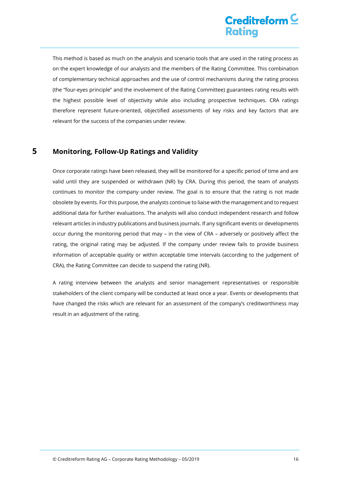This method is based as much on the analysis and scenario tools that are used in the rating process as on the expert knowledge of our analysts and the members of the Rating Committee. This combination of complementary technical approaches and the use of control mechanisms during the rating process (the "four-eyes principle" and the involvement of the Rating Committee) guarantees rating results with the highest possible level of objectivity while also including prospective techniques. CRA ratings therefore represent future-oriented, objectified assessments of key risks and key factors that are relevant for the success of the companies under review.

## <span id="page-15-0"></span>**5 Monitoring, Follow-Up Ratings and Validity**

Once corporate ratings have been released, they will be monitored for a specific period of time and are valid until they are suspended or withdrawn (NR) by CRA. During this period, the team of analysts continues to monitor the company under review. The goal is to ensure that the rating is not made obsolete by events. For this purpose, the analysts continue to liaise with the management and to request additional data for further evaluations. The analysts will also conduct independent research and follow relevant articles in industry publications and business journals. If any significant events or developments occur during the monitoring period that may – in the view of CRA – adversely or positively affect the rating, the original rating may be adjusted. If the company under review fails to provide business information of acceptable quality or within acceptable time intervals (according to the judgement of CRA), the Rating Committee can decide to suspend the rating (NR).

A rating interview between the analysts and senior management representatives or responsible stakeholders of the client company will be conducted at least once a year. Events or developments that have changed the risks which are relevant for an assessment of the company's creditworthiness may result in an adjustment of the rating.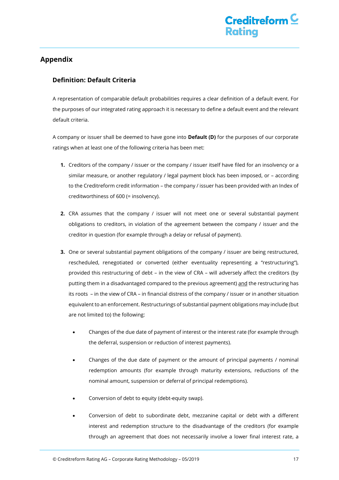## <span id="page-16-0"></span>**Appendix**

### <span id="page-16-1"></span>**Definition: Default Criteria**

A representation of comparable default probabilities requires a clear definition of a default event. For the purposes of our integrated rating approach it is necessary to define a default event and the relevant default criteria.

A company or issuer shall be deemed to have gone into **Default (D)** for the purposes of our corporate ratings when at least one of the following criteria has been met:

- **1.** Creditors of the company / issuer or the company / issuer itself have filed for an insolvency or a similar measure, or another regulatory / legal payment block has been imposed, or – according to the Creditreform credit information – the company / issuer has been provided with an Index of creditworthiness of 600 (= insolvency).
- **2.** CRA assumes that the company / issuer will not meet one or several substantial payment obligations to creditors, in violation of the agreement between the company / issuer and the creditor in question (for example through a delay or refusal of payment).
- **3.** One or several substantial payment obligations of the company / issuer are being restructured, rescheduled, renegotiated or converted (either eventuality representing a "restructuring"), provided this restructuring of debt – in the view of CRA – will adversely affect the creditors (by putting them in a disadvantaged compared to the previous agreement) and the restructuring has its roots – in the view of CRA – in financial distress of the company / issuer or in another situation equivalent to an enforcement. Restructurings of substantial payment obligations may include (but are not limited to) the following:
	- Changes of the due date of payment of interest or the interest rate (for example through the deferral, suspension or reduction of interest payments).
	- Changes of the due date of payment or the amount of principal payments / nominal redemption amounts (for example through maturity extensions, reductions of the nominal amount, suspension or deferral of principal redemptions).
	- Conversion of debt to equity (debt-equity swap).
	- Conversion of debt to subordinate debt, mezzanine capital or debt with a different interest and redemption structure to the disadvantage of the creditors (for example through an agreement that does not necessarily involve a lower final interest rate, a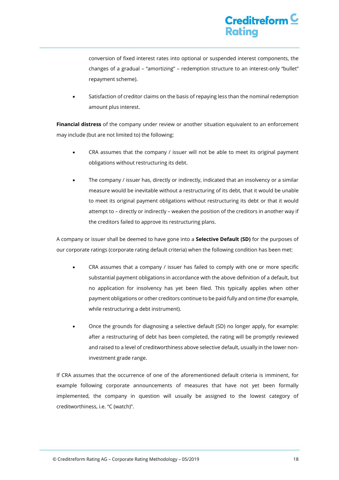# Creditreform  $\mathsf{\subseteq}$ **Rating**

conversion of fixed interest rates into optional or suspended interest components, the changes of a gradual – "amortizing" – redemption structure to an interest-only "bullet" repayment scheme).

 Satisfaction of creditor claims on the basis of repaying less than the nominal redemption amount plus interest.

**Financial distress** of the company under review or another situation equivalent to an enforcement may include (but are not limited to) the following:

- CRA assumes that the company / issuer will not be able to meet its original payment obligations without restructuring its debt.
- The company / issuer has, directly or indirectly, indicated that an insolvency or a similar measure would be inevitable without a restructuring of its debt, that it would be unable to meet its original payment obligations without restructuring its debt or that it would attempt to – directly or indirectly – weaken the position of the creditors in another way if the creditors failed to approve its restructuring plans.

A company or issuer shall be deemed to have gone into a **Selective Default (SD)** for the purposes of our corporate ratings (corporate rating default criteria) when the following condition has been met:

- CRA assumes that a company / issuer has failed to comply with one or more specific substantial payment obligations in accordance with the above definition of a default, but no application for insolvency has yet been filed. This typically applies when other payment obligations or other creditors continue to be paid fully and on time (for example, while restructuring a debt instrument).
- Once the grounds for diagnosing a selective default (SD) no longer apply, for example: after a restructuring of debt has been completed, the rating will be promptly reviewed and raised to a level of creditworthiness above selective default, usually in the lower noninvestment grade range.

If CRA assumes that the occurrence of one of the aforementioned default criteria is imminent, for example following corporate announcements of measures that have not yet been formally implemented, the company in question will usually be assigned to the lowest category of creditworthiness, i.e. "C (watch)".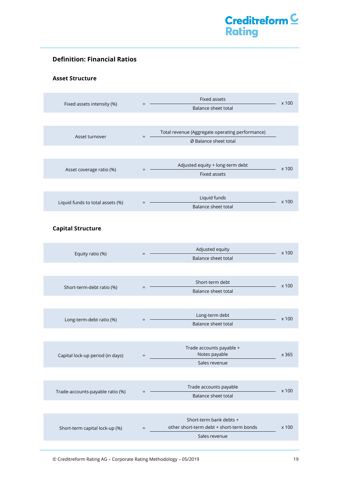### <span id="page-18-0"></span>**Definition: Financial Ratios**

### **Asset Structure**

| Fixed assets intensity (%)       | Fixed assets<br>Balance sheet total                                             | x 100 |
|----------------------------------|---------------------------------------------------------------------------------|-------|
|                                  |                                                                                 |       |
| Asset turnover                   | Total revenue (Aggregate operating performance)<br>$=$<br>Ø Balance sheet total |       |
|                                  |                                                                                 |       |
| Asset coverage ratio (%)         | Adjusted equity + long-term debt<br>Fixed assets                                | x 100 |
|                                  |                                                                                 |       |
| Liquid funds to total assets (%) | Liquid funds<br>Balance sheet total                                             | x 100 |
| <b>Capital Structure</b>         |                                                                                 |       |
| Equity ratio (%)                 | Adjusted equity<br>$=$<br>Balance sheet total                                   | x 100 |
|                                  |                                                                                 |       |
| Short-term-debt ratio (%)        | Short-term debt<br>$=$<br>Balance sheet total                                   | x 100 |
|                                  |                                                                                 |       |
| Long-term-debt ratio (%)         | Long-term debt<br>Balance sheet total                                           | x 100 |
|                                  |                                                                                 |       |
| Capital lock-up period (in days) | Trade accounts payable +<br>Notes payable<br>$=$<br>Sales revenue               | x 365 |
|                                  |                                                                                 |       |
| Trade-accounts-payable ratio (%) | Trade accounts payable<br>Balance sheet total                                   | x 100 |
|                                  |                                                                                 |       |
| Short-term capital lock-up (%)   | Short-term bank debts +<br>other short-term debt + short-term bonds<br>$=$      | x 100 |

Sales revenue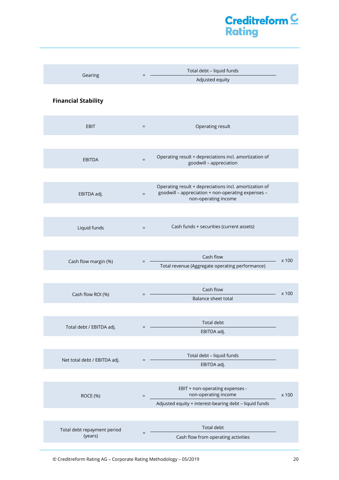| Gearing                                | Total debt - liquid funds<br>$=$<br>Adjusted equity                                                                                              |       |
|----------------------------------------|--------------------------------------------------------------------------------------------------------------------------------------------------|-------|
| <b>Financial Stability</b>             |                                                                                                                                                  |       |
| <b>EBIT</b>                            | Operating result<br>$\equiv$                                                                                                                     |       |
|                                        |                                                                                                                                                  |       |
| <b>EBITDA</b>                          | Operating result + depreciations incl. amortization of<br>$\equiv$<br>goodwill - appreciation                                                    |       |
|                                        |                                                                                                                                                  |       |
| EBITDA adj.                            | Operating result + depreciations incl. amortization of<br>goodwill - appreciation + non-operating expenses -<br>$\equiv$<br>non-operating income |       |
|                                        |                                                                                                                                                  |       |
| Liquid funds                           | Cash funds + securities (current assets)<br>$\equiv$                                                                                             |       |
|                                        |                                                                                                                                                  |       |
| Cash flow margin (%)                   | Cash flow<br>$=$<br>Total revenue (Aggregate operating performance)                                                                              | x 100 |
|                                        |                                                                                                                                                  |       |
| Cash flow ROI (%)                      | Cash flow<br>$=$                                                                                                                                 |       |
|                                        | Balance sheet total                                                                                                                              | x 100 |
|                                        |                                                                                                                                                  |       |
| Total debt / EBITDA adj.               | <b>Total debt</b>                                                                                                                                |       |
|                                        | EBITDA adj.                                                                                                                                      |       |
|                                        |                                                                                                                                                  |       |
| Net total debt / EBITDA adj.           | Total debt - liquid funds<br>EBITDA adj.                                                                                                         |       |
|                                        |                                                                                                                                                  |       |
| ROCE (%)                               | EBIT + non-operating expenses -<br>non-operating income<br>$\qquad \qquad =$                                                                     | x 100 |
|                                        | Adjusted equity + interest-bearing debt - liquid funds                                                                                           |       |
|                                        |                                                                                                                                                  |       |
| Total debt repayment period<br>(years) | Total debt<br>Cash flow from operating activities                                                                                                |       |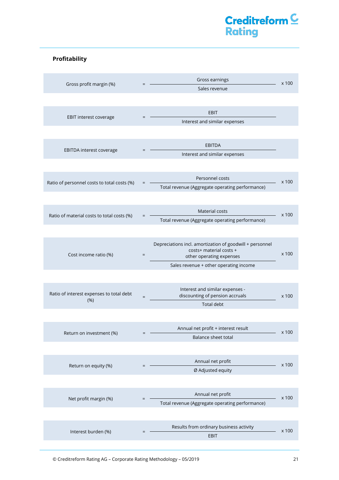### **Profitability**

| Gross profit margin (%)                          | Gross earnings<br>Sales revenue                                                                                                                                  | x 100 |
|--------------------------------------------------|------------------------------------------------------------------------------------------------------------------------------------------------------------------|-------|
|                                                  |                                                                                                                                                                  |       |
| EBIT interest coverage                           | <b>EBIT</b><br>Interest and similar expenses                                                                                                                     |       |
| EBITDA interest coverage                         | <b>EBITDA</b><br>Interest and similar expenses                                                                                                                   |       |
| Ratio of personnel costs to total costs (%)      | Personnel costs<br>Total revenue (Aggregate operating performance)                                                                                               | x 100 |
| Ratio of material costs to total costs (%)       | Material costs<br>Total revenue (Aggregate operating performance)                                                                                                | x 100 |
| Cost income ratio (%)                            | Depreciations incl. amortization of goodwill + personnel<br>costs+ material costs +<br>$=$<br>other operating expenses<br>Sales revenue + other operating income | x 100 |
| Ratio of interest expenses to total debt<br>(% ) | Interest and similar expenses -<br>discounting of pension accruals<br>$=$<br><b>Total debt</b>                                                                   | x 100 |
| Return on investment (%)                         | Annual net profit + interest result<br>Balance sheet total                                                                                                       | x 100 |
| Return on equity (%)                             | Annual net profit<br>Ø Adjusted equity                                                                                                                           | x 100 |
| Net profit margin (%)                            | Annual net profit<br>Total revenue (Aggregate operating performance)                                                                                             | x 100 |
| Interest burden (%)                              | Results from ordinary business activity<br>EBIT                                                                                                                  | x 100 |